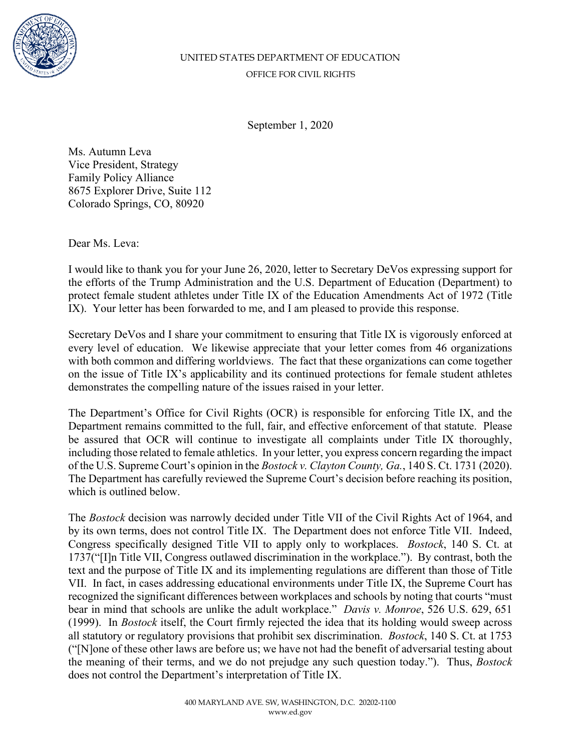

## UNITED STATES DEPARTMENT OF EDUCATION OFFICE FOR CIVIL RIGHTS

September 1, 2020

Ms. Autumn Leva Vice President, Strategy Family Policy Alliance 8675 Explorer Drive, Suite 112 Colorado Springs, CO, 80920

Dear Ms. Leva:

I would like to thank you for your June 26, 2020, letter to Secretary DeVos expressing support for the efforts of the Trump Administration and the U.S. Department of Education (Department) to protect female student athletes under Title IX of the Education Amendments Act of 1972 (Title IX). Your letter has been forwarded to me, and I am pleased to provide this response.

Secretary DeVos and I share your commitment to ensuring that Title IX is vigorously enforced at every level of education. We likewise appreciate that your letter comes from 46 organizations with both common and differing worldviews. The fact that these organizations can come together on the issue of Title IX's applicability and its continued protections for female student athletes demonstrates the compelling nature of the issues raised in your letter.

The Department's Office for Civil Rights (OCR) is responsible for enforcing Title IX, and the Department remains committed to the full, fair, and effective enforcement of that statute. Please be assured that OCR will continue to investigate all complaints under Title IX thoroughly, including those related to female athletics. In your letter, you express concern regarding the impact of the U.S. Supreme Court's opinion in the *Bostock v. Clayton County, Ga.*, 140 S. Ct. 1731 (2020). The Department has carefully reviewed the Supreme Court's decision before reaching its position, which is outlined below.

The *Bostock* decision was narrowly decided under Title VII of the Civil Rights Act of 1964, and by its own terms, does not control Title IX. The Department does not enforce Title VII. Indeed, Congress specifically designed Title VII to apply only to workplaces. *Bostock*, 140 S. Ct. at 1737("[I]n Title VII, Congress outlawed discrimination in the workplace."). By contrast, both the text and the purpose of Title IX and its implementing regulations are different than those of Title VII. In fact, in cases addressing educational environments under Title IX, the Supreme Court has recognized the significant differences between workplaces and schools by noting that courts "must bear in mind that schools are unlike the adult workplace." *Davis v. Monroe*, 526 U.S. 629, 651 (1999). In *Bostock* itself, the Court firmly rejected the idea that its holding would sweep across all statutory or regulatory provisions that prohibit sex discrimination. *Bostock*, 140 S. Ct. at 1753 ("[N]one of these other laws are before us; we have not had the benefit of adversarial testing about the meaning of their terms, and we do not prejudge any such question today."). Thus, *Bostock* does not control the Department's interpretation of Title IX.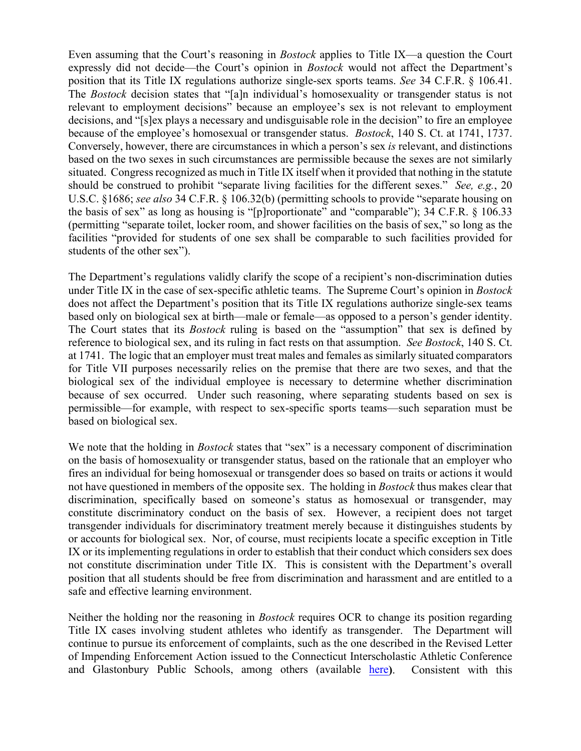Even assuming that the Court's reasoning in *Bostock* applies to Title IX—a question the Court expressly did not decide—the Court's opinion in *Bostock* would not affect the Department's position that its Title IX regulations authorize single-sex sports teams. *See* 34 C.F.R. § 106.41. The *Bostock* decision states that "[a]n individual's homosexuality or transgender status is not relevant to employment decisions" because an employee's sex is not relevant to employment decisions, and "[s]ex plays a necessary and undisguisable role in the decision" to fire an employee because of the employee's homosexual or transgender status. *Bostock*, 140 S. Ct. at 1741, 1737. Conversely, however, there are circumstances in which a person's sex *is* relevant, and distinctions based on the two sexes in such circumstances are permissible because the sexes are not similarly situated. Congress recognized as much in Title IX itself when it provided that nothing in the statute should be construed to prohibit "separate living facilities for the different sexes." *See, e.g.*, 20 U.S.C. §1686; *see also* 34 C.F.R. § 106.32(b) (permitting schools to provide "separate housing on the basis of sex" as long as housing is "[p]roportionate" and "comparable"); 34 C.F.R. § 106.33 (permitting "separate toilet, locker room, and shower facilities on the basis of sex," so long as the facilities "provided for students of one sex shall be comparable to such facilities provided for students of the other sex").

The Department's regulations validly clarify the scope of a recipient's non-discrimination duties under Title IX in the case of sex-specific athletic teams. The Supreme Court's opinion in *Bostock* does not affect the Department's position that its Title IX regulations authorize single-sex teams based only on biological sex at birth—male or female—as opposed to a person's gender identity. The Court states that its *Bostock* ruling is based on the "assumption" that sex is defined by reference to biological sex, and its ruling in fact rests on that assumption. *See Bostock*, 140 S. Ct. at 1741. The logic that an employer must treat males and females as similarly situated comparators for Title VII purposes necessarily relies on the premise that there are two sexes, and that the biological sex of the individual employee is necessary to determine whether discrimination because of sex occurred. Under such reasoning, where separating students based on sex is permissible—for example, with respect to sex-specific sports teams—such separation must be based on biological sex.

We note that the holding in *Bostock* states that "sex" is a necessary component of discrimination on the basis of homosexuality or transgender status, based on the rationale that an employer who fires an individual for being homosexual or transgender does so based on traits or actions it would not have questioned in members of the opposite sex. The holding in *Bostock* thus makes clear that discrimination, specifically based on someone's status as homosexual or transgender, may constitute discriminatory conduct on the basis of sex. However, a recipient does not target transgender individuals for discriminatory treatment merely because it distinguishes students by or accounts for biological sex. Nor, of course, must recipients locate a specific exception in Title IX or its implementing regulations in order to establish that their conduct which considers sex does not constitute discrimination under Title IX. This is consistent with the Department's overall position that all students should be free from discrimination and harassment and are entitled to a safe and effective learning environment.

Neither the holding nor the reasoning in *Bostock* requires OCR to change its position regarding Title IX cases involving student athletes who identify as transgender. The Department will continue to pursue its enforcement of complaints, such as the one described in the Revised Letter of Impending Enforcement Action issued to the Connecticut Interscholastic Athletic Conference and Glastonbury Public Schools, among others (available [here](https://www2.ed.gov/about/offices/list/ocr/docs/investigations/more/01194025-a2.pdf)**)**. Consistent with this